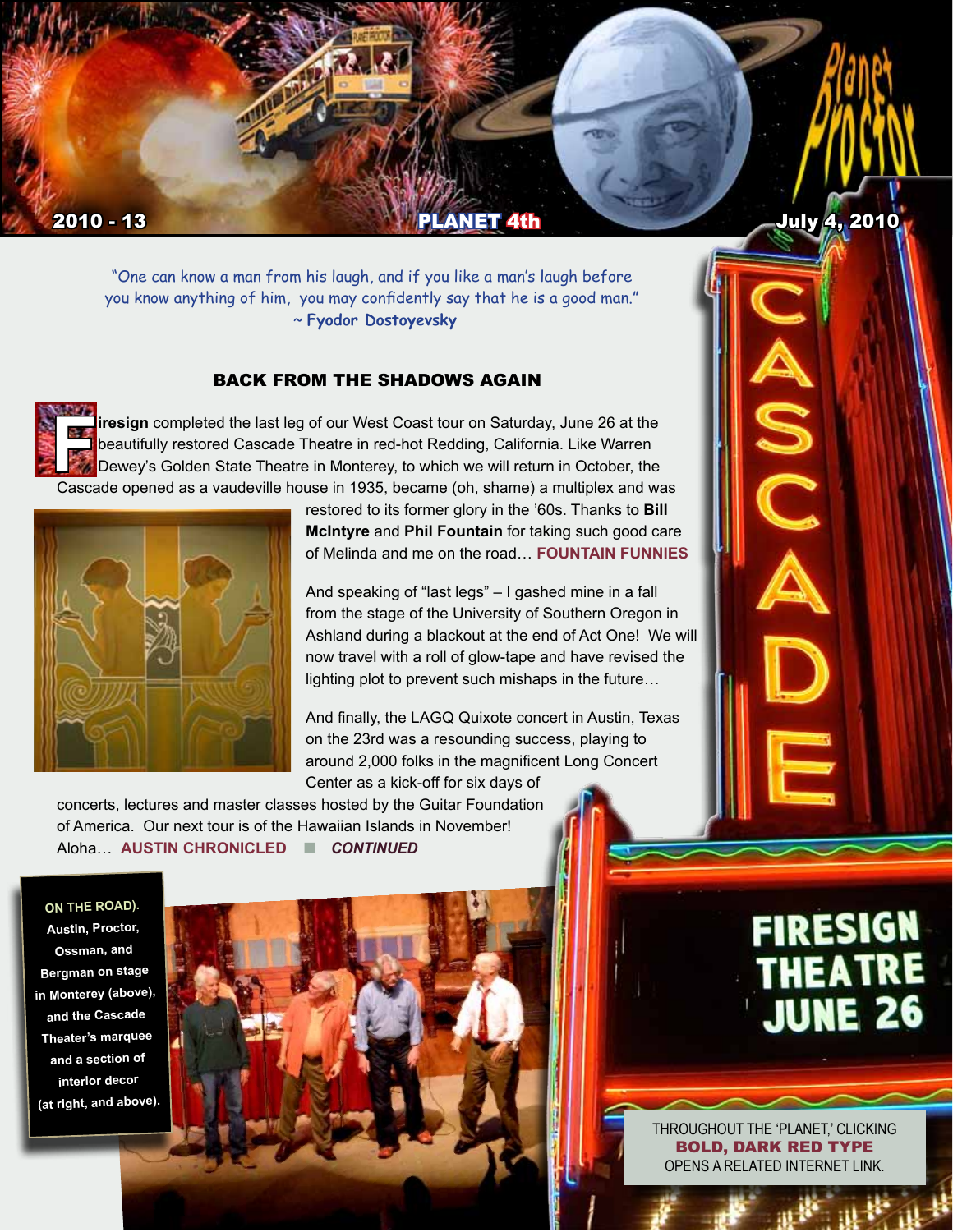

"One can know a man from his laugh, and if you like a man's laugh before you know anything of him, you may confidently say that he is a good man." ~ **Fyodor Dostoyevsky**

#### BACK FROM THE SHADOWS AGAIN

**Firesign** completed the last leg of our West Coast tour on Saturday, June 26 at the beautifully restored Cascade Theatre in red-hot Redding, California. Like Warren<br>Dewey's Golden State Theatre in Monterey, to which we wi beautifully restored Cascade Theatre in red-hot Redding, California. Like Warren Dewey's Golden State Theatre in Monterey, to which we will return in October, the Cascade opened as a vaudeville house in 1935, became (oh, shame) a multiplex and was



restored to its former glory in the '60s. Thanks to **Bill McIntyre** and **Phil Fountain** for taking such good care of Melinda and me on the road… **[FOUNTAIN FUNNIES](http://anewscafe.com/2010/06/21/follow-the-firesigns-to-the-brightest-comedians-you-dont-know/)**

And speaking of "last legs" – I gashed mine in a fall from the stage of the University of Southern Oregon in Ashland during a blackout at the end of Act One! We will now travel with a roll of glow-tape and have revised the lighting plot to prevent such mishaps in the future…

And finally, the LAGQ Quixote concert in Austin, Texas on the 23rd was a resounding success, playing to around 2,000 folks in the magnificent Long Concert Center as a kick-off for six days of

concerts, lectures and master classes hosted by the Guitar Foundation of America. Our next tour is of the Hawaiian Islands in November! Aloha… **[AUSTIN CHRONICLED](http://www.austinchronicle.com/gyrobase/Issue/review?oid=oid%3A1047040)** n *CONTINUED*

**ON THE ROAD). Austin, Proctor, Ossman, and Bergman on stage in Monterey (above), and the Cascade Theater's marquee and a section of interior decor (at right, and above).**



# **FIRESIGN** THEATRE<br>JUNE 26

 n *CONTINUED* OPENS A RELATED INTERNET LINK. THROUGHOUT THE 'PLANET,' CLICKING BOLD, DARK RED TYPE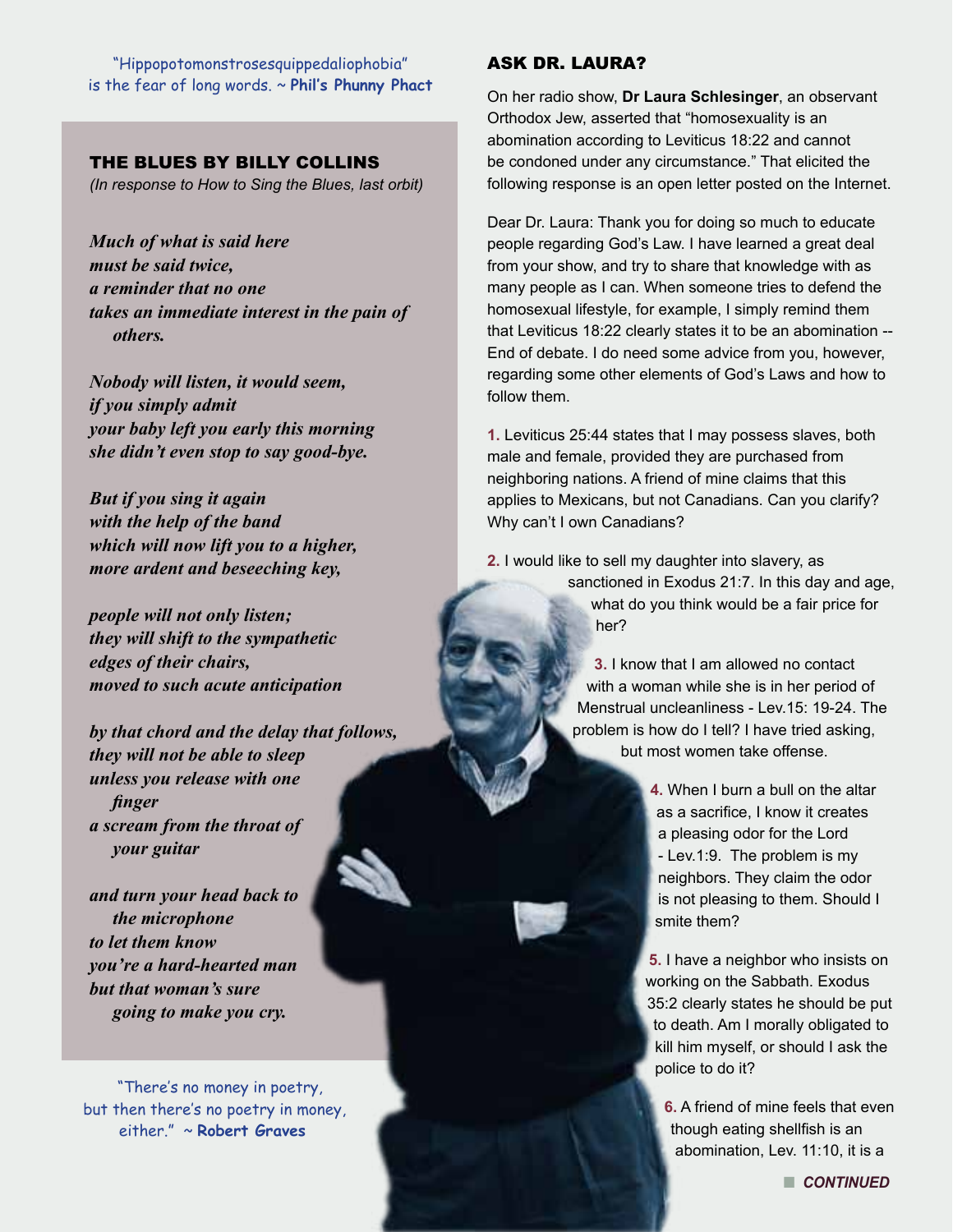"Hippopotomonstrosesquippedaliophobia" is the fear of long words. ~ **Phil's Phunny Phact**

## THE BLUES BY BILLY COLLINS

*(In response to How to Sing the Blues, last orbit)*

*Much of what is said here must be said twice, a reminder that no one takes an immediate interest in the pain of others.*

*Nobody will listen, it would seem, if you simply admit your baby left you early this morning she didn't even stop to say good-bye.*

*But if you sing it again with the help of the band which will now lift you to a higher, more ardent and beseeching key,*

*people will not only listen; they will shift to the sympathetic edges of their chairs, moved to such acute anticipation*

*by that chord and the delay that follows, they will not be able to sleep unless you release with one finger a scream from the throat of your guitar*

*and turn your head back to the microphone to let them know you're a hard-hearted man but that woman's sure going to make you cry.*

"There's no money in poetry, but then there's no poetry in money, either." ~ **Robert Graves** 

#### ASK DR. LAURA?

On her radio show, **Dr Laura Schlesinger**, an observant Orthodox Jew, asserted that "homosexuality is an abomination according to Leviticus 18:22 and cannot be condoned under any circumstance." That elicited the following response is an open letter posted on the Internet.

Dear Dr. Laura: Thank you for doing so much to educate people regarding God's Law. I have learned a great deal from your show, and try to share that knowledge with as many people as I can. When someone tries to defend the homosexual lifestyle, for example, I simply remind them that Leviticus 18:22 clearly states it to be an abomination -- End of debate. I do need some advice from you, however, regarding some other elements of God's Laws and how to follow them.

**1.** Leviticus 25:44 states that I may possess slaves, both male and female, provided they are purchased from neighboring nations. A friend of mine claims that this applies to Mexicans, but not Canadians. Can you clarify? Why can't I own Canadians?

**2.** I would like to sell my daughter into slavery, as sanctioned in Exodus 21:7. In this day and age, what do you think would be a fair price for her?

> **3.** I know that I am allowed no contact with a woman while she is in her period of Menstrual uncleanliness - Lev.15: 19-24. The problem is how do I tell? I have tried asking, but most women take offense.

> > **4.** When I burn a bull on the altar as a sacrifice, I know it creates a pleasing odor for the Lord - Lev.1:9. The problem is my neighbors. They claim the odor is not pleasing to them. Should I smite them?

**5.** I have a neighbor who insists on working on the Sabbath. Exodus 35:2 clearly states he should be put to death. Am I morally obligated to kill him myself, or should I ask the police to do it?

**6.** A friend of mine feels that even though eating shellfish is an abomination, Lev. 11:10, it is a

**N** CONTINUED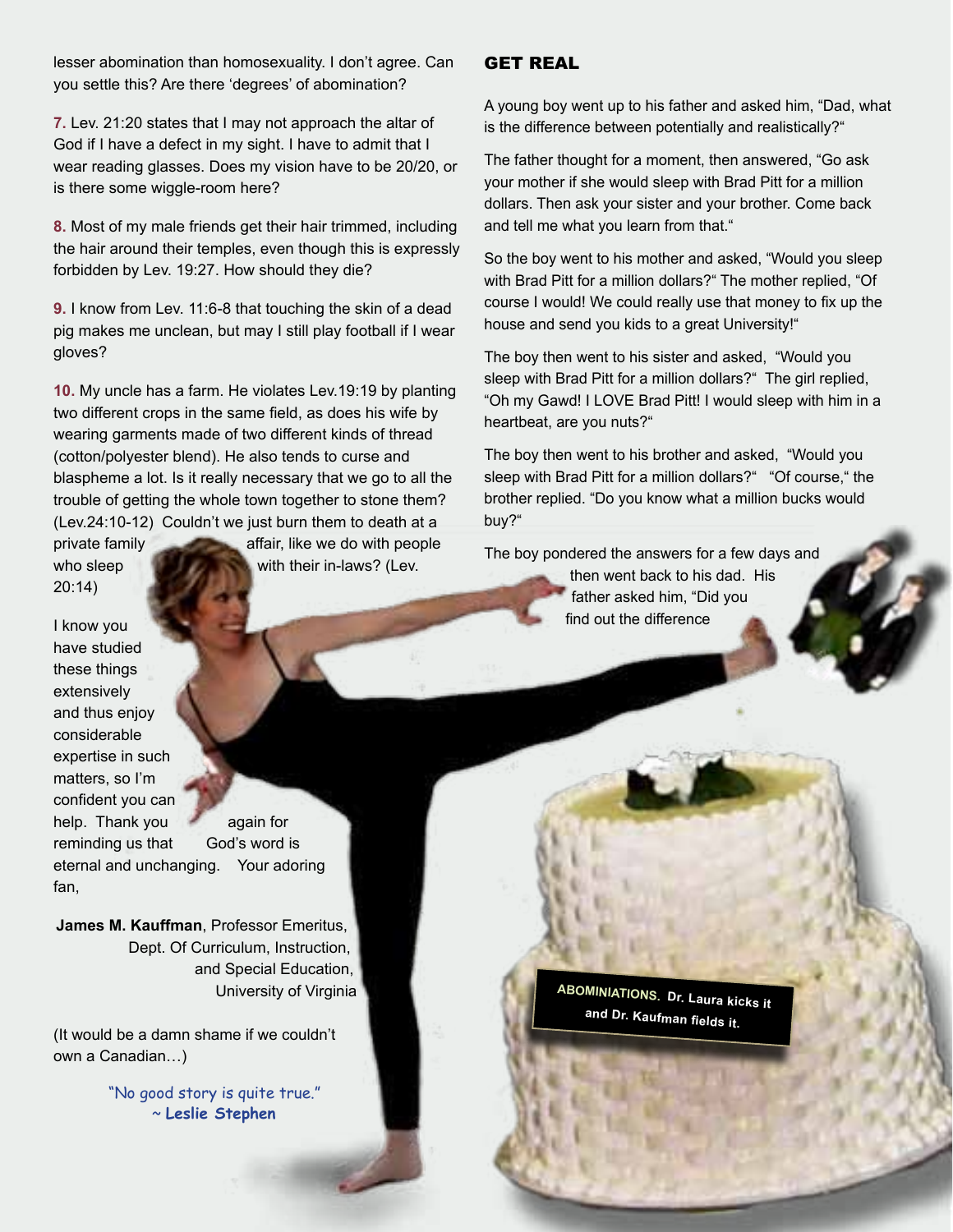lesser abomination than homosexuality. I don't agree. Can you settle this? Are there 'degrees' of abomination?

**7.** Lev. 21:20 states that I may not approach the altar of God if I have a defect in my sight. I have to admit that I wear reading glasses. Does my vision have to be 20/20, or is there some wiggle-room here?

**8.** Most of my male friends get their hair trimmed, including the hair around their temples, even though this is expressly forbidden by Lev. 19:27. How should they die?

**9.** I know from Lev. 11:6-8 that touching the skin of a dead pig makes me unclean, but may I still play football if I wear gloves?

**10.** My uncle has a farm. He violates Lev.19:19 by planting two different crops in the same field, as does his wife by wearing garments made of two different kinds of thread (cotton/polyester blend). He also tends to curse and blaspheme a lot. Is it really necessary that we go to all the trouble of getting the whole town together to stone them? (Lev.24:10-12) Couldn't we just burn them to death at a

20:14)

private family affair, like we do with people who sleep  $\mathbb{R}$  with their in-laws? (Lev.

I know you have studied these things extensively and thus enjoy considerable expertise in such matters, so I'm confident you can help. Thank you again for reminding us that God's word is eternal and unchanging. Your adoring fan,

**James M. Kauffman**, Professor Emeritus, Dept. Of Curriculum, Instruction, and Special Education, University of Virginia

(It would be a damn shame if we couldn't own a Canadian…)

> "No good story is quite true." ~ **Leslie Stephen**

#### GET REAL

A young boy went up to his father and asked him, "Dad, what is the difference between potentially and realistically?"

The father thought for a moment, then answered, "Go ask your mother if she would sleep with Brad Pitt for a million dollars. Then ask your sister and your brother. Come back and tell me what you learn from that."

So the boy went to his mother and asked, "Would you sleep with Brad Pitt for a million dollars?" The mother replied, "Of course I would! We could really use that money to fix up the house and send you kids to a great University!"

The boy then went to his sister and asked, "Would you sleep with Brad Pitt for a million dollars?" The girl replied, "Oh my Gawd! I LOVE Brad Pitt! I would sleep with him in a heartbeat, are you nuts?"

The boy then went to his brother and asked, "Would you sleep with Brad Pitt for a million dollars?" "Of course," the brother replied. "Do you know what a million bucks would buy?"

The boy pondered the answers for a few days and

then went back to his dad. His father asked him, "Did you find out the difference

**ABOMINIATIONS. Dr. Laura kicks it and Dr. Kaufman fields it.**

n *CONTINUED*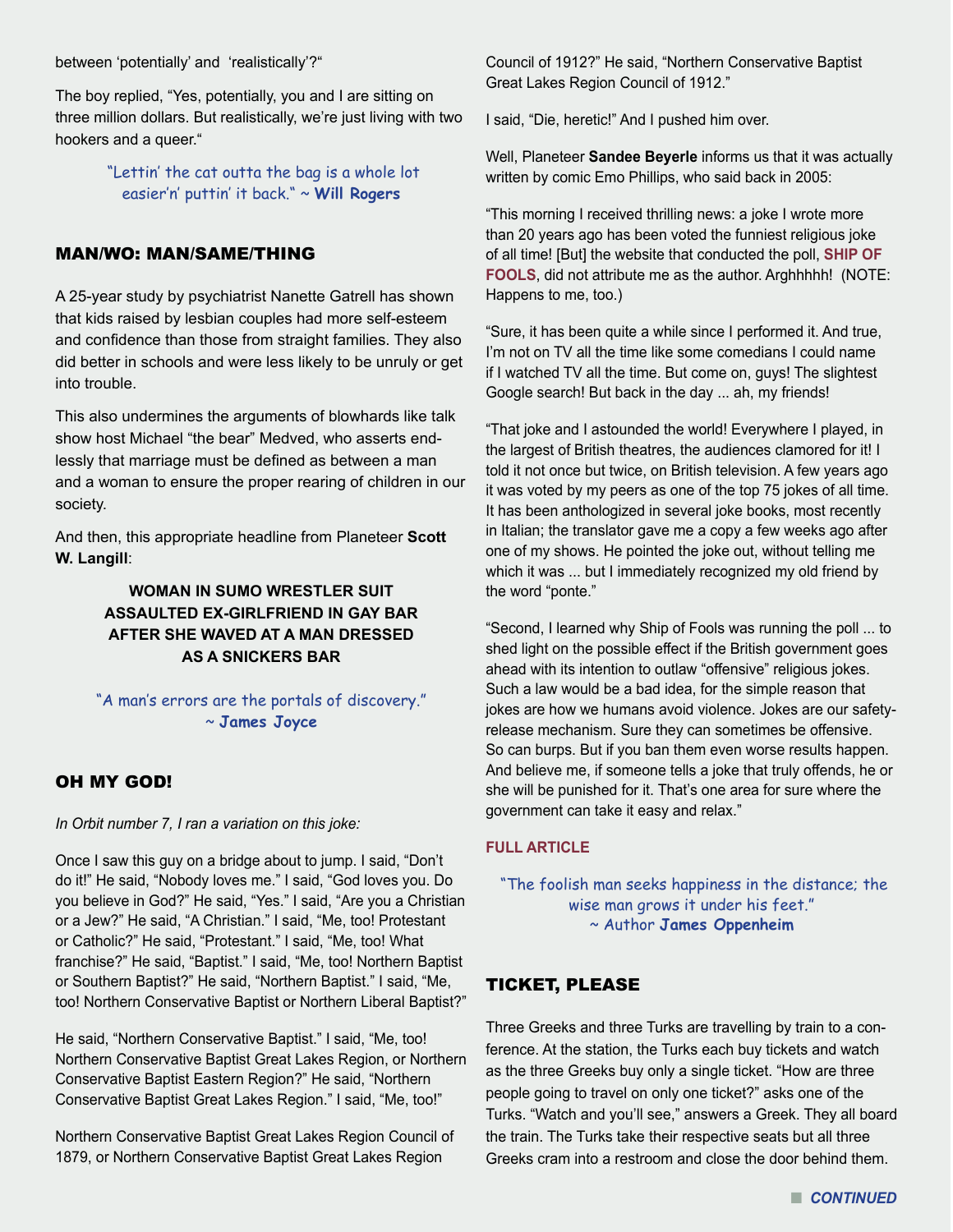between 'potentially' and 'realistically'?"

The boy replied, "Yes, potentially, you and I are sitting on three million dollars. But realistically, we're just living with two hookers and a queer."

> "Lettin' the cat outta the bag is a whole lot easier'n' puttin' it back." ~ **Will Rogers**

#### MAN/WO: MAN/SAME/THING

A 25-year study by psychiatrist Nanette Gatrell has shown that kids raised by lesbian couples had more self-esteem and confidence than those from straight families. They also did better in schools and were less likely to be unruly or get into trouble.

This also undermines the arguments of blowhards like talk show host Michael "the bear" Medved, who asserts endlessly that marriage must be defined as between a man and a woman to ensure the proper rearing of children in our society.

And then, this appropriate headline from Planeteer **Scott W. Langill**:

## **WOMAN IN SUMO WRESTLER SUIT ASSAULTED EX-GIRLFRIEND IN GAY BAR AFTER SHE WAVED AT A MAN DRESSED AS A SNICKERS BAR**

## "A man's errors are the portals of discovery." ~ **James Joyce**

## OH MY GOD!

*In Orbit number 7, I ran a variation on this joke:* 

Once I saw this guy on a bridge about to jump. I said, "Don't do it!" He said, "Nobody loves me." I said, "God loves you. Do you believe in God?" He said, "Yes." I said, "Are you a Christian or a Jew?" He said, "A Christian." I said, "Me, too! Protestant or Catholic?" He said, "Protestant." I said, "Me, too! What franchise?" He said, "Baptist." I said, "Me, too! Northern Baptist or Southern Baptist?" He said, "Northern Baptist." I said, "Me, too! Northern Conservative Baptist or Northern Liberal Baptist?"

He said, "Northern Conservative Baptist." I said, "Me, too! Northern Conservative Baptist Great Lakes Region, or Northern Conservative Baptist Eastern Region?" He said, "Northern Conservative Baptist Great Lakes Region." I said, "Me, too!"

Northern Conservative Baptist Great Lakes Region Council of 1879, or Northern Conservative Baptist Great Lakes Region

Council of 1912?" He said, "Northern Conservative Baptist Great Lakes Region Council of 1912."

I said, "Die, heretic!" And I pushed him over.

Well, Planeteer **Sandee Beyerle** informs us that it was actually written by comic Emo Phillips, who said back in 2005:

"This morning I received thrilling news: a joke I wrote more than 20 years ago has been voted the funniest religious joke of all time! [But] the website that conducted the poll, **[SHIP OF](http://www.ship-of-fools.com/)  [FOOLS](http://www.ship-of-fools.com/)**, did not attribute me as the author. Arghhhhh! (NOTE: Happens to me, too.)

"Sure, it has been quite a while since I performed it. And true, I'm not on TV all the time like some comedians I could name if I watched TV all the time. But come on, guys! The slightest Google search! But back in the day ... ah, my friends!

"That joke and I astounded the world! Everywhere I played, in the largest of British theatres, the audiences clamored for it! I told it not once but twice, on British television. A few years ago it was voted by my peers as one of the top 75 jokes of all time. It has been anthologized in several joke books, most recently in Italian; the translator gave me a copy a few weeks ago after one of my shows. He pointed the joke out, without telling me which it was ... but I immediately recognized my old friend by the word "ponte."

"Second, I learned why Ship of Fools was running the poll ... to shed light on the possible effect if the British government goes ahead with its intention to outlaw "offensive" religious jokes. Such a law would be a bad idea, for the simple reason that jokes are how we humans avoid violence. Jokes are our safetyrelease mechanism. Sure they can sometimes be offensive. So can burps. But if you ban them even worse results happen. And believe me, if someone tells a joke that truly offends, he or she will be punished for it. That's one area for sure where the government can take it easy and relax."

#### **[FULL ARTICLE](http://www.guardian.co.uk/stage/2005/sep/29/comedy.religion)**

 "The foolish man seeks happiness in the distance; the wise man grows it under his feet." ~ Author **James Oppenheim**

### TICKET, PLEASE

Three Greeks and three Turks are travelling by train to a conference. At the station, the Turks each buy tickets and watch as the three Greeks buy only a single ticket. "How are three people going to travel on only one ticket?" asks one of the Turks. "Watch and you'll see," answers a Greek. They all board the train. The Turks take their respective seats but all three Greeks cram into a restroom and close the door behind them.